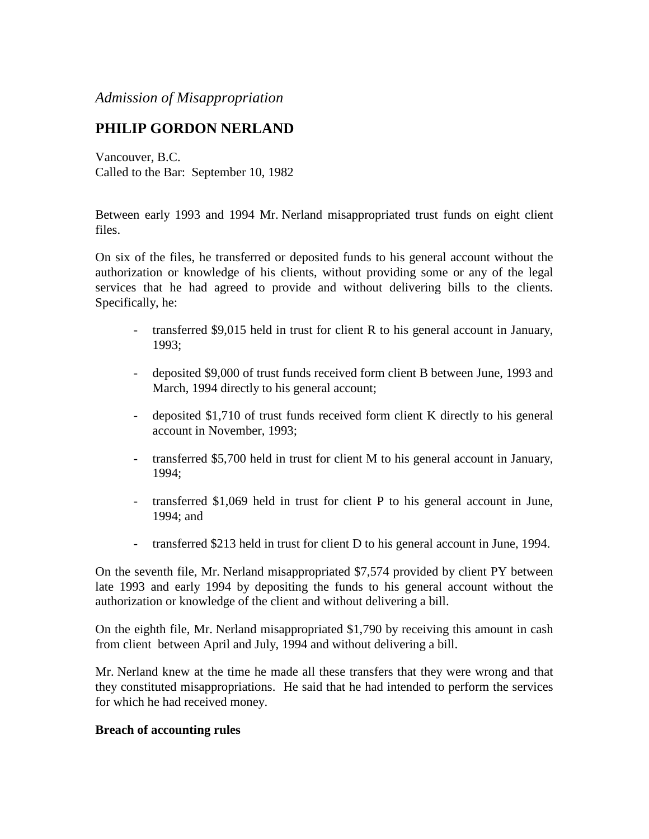## *Admission of Misappropriation*

# **PHILIP GORDON NERLAND**

Vancouver, B.C. Called to the Bar: September 10, 1982

Between early 1993 and 1994 Mr. Nerland misappropriated trust funds on eight client files.

On six of the files, he transferred or deposited funds to his general account without the authorization or knowledge of his clients, without providing some or any of the legal services that he had agreed to provide and without delivering bills to the clients. Specifically, he:

- transferred \$9,015 held in trust for client R to his general account in January, 1993;
- deposited \$9,000 of trust funds received form client B between June, 1993 and March, 1994 directly to his general account;
- deposited \$1,710 of trust funds received form client K directly to his general account in November, 1993;
- transferred \$5,700 held in trust for client M to his general account in January, 1994;
- transferred \$1,069 held in trust for client P to his general account in June, 1994; and
- transferred \$213 held in trust for client D to his general account in June, 1994.

On the seventh file, Mr. Nerland misappropriated \$7,574 provided by client PY between late 1993 and early 1994 by depositing the funds to his general account without the authorization or knowledge of the client and without delivering a bill.

On the eighth file, Mr. Nerland misappropriated \$1,790 by receiving this amount in cash from client between April and July, 1994 and without delivering a bill.

Mr. Nerland knew at the time he made all these transfers that they were wrong and that they constituted misappropriations. He said that he had intended to perform the services for which he had received money.

### **Breach of accounting rules**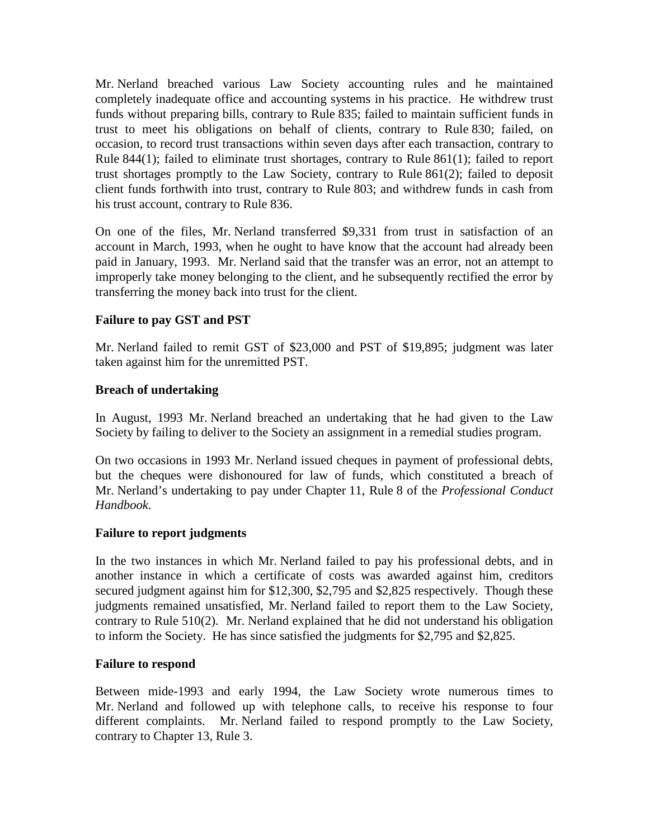Mr. Nerland breached various Law Society accounting rules and he maintained completely inadequate office and accounting systems in his practice. He withdrew trust funds without preparing bills, contrary to Rule 835; failed to maintain sufficient funds in trust to meet his obligations on behalf of clients, contrary to Rule 830; failed, on occasion, to record trust transactions within seven days after each transaction, contrary to Rule 844(1); failed to eliminate trust shortages, contrary to Rule 861(1); failed to report trust shortages promptly to the Law Society, contrary to Rule 861(2); failed to deposit client funds forthwith into trust, contrary to Rule 803; and withdrew funds in cash from his trust account, contrary to Rule 836.

On one of the files, Mr. Nerland transferred \$9,331 from trust in satisfaction of an account in March, 1993, when he ought to have know that the account had already been paid in January, 1993. Mr. Nerland said that the transfer was an error, not an attempt to improperly take money belonging to the client, and he subsequently rectified the error by transferring the money back into trust for the client.

## **Failure to pay GST and PST**

Mr. Nerland failed to remit GST of \$23,000 and PST of \$19,895; judgment was later taken against him for the unremitted PST.

## **Breach of undertaking**

In August, 1993 Mr. Nerland breached an undertaking that he had given to the Law Society by failing to deliver to the Society an assignment in a remedial studies program.

On two occasions in 1993 Mr. Nerland issued cheques in payment of professional debts, but the cheques were dishonoured for law of funds, which constituted a breach of Mr. Nerland's undertaking to pay under Chapter 11, Rule 8 of the *Professional Conduct Handbook*.

### **Failure to report judgments**

In the two instances in which Mr. Nerland failed to pay his professional debts, and in another instance in which a certificate of costs was awarded against him, creditors secured judgment against him for \$12,300, \$2,795 and \$2,825 respectively. Though these judgments remained unsatisfied, Mr. Nerland failed to report them to the Law Society, contrary to Rule 510(2). Mr. Nerland explained that he did not understand his obligation to inform the Society. He has since satisfied the judgments for \$2,795 and \$2,825.

### **Failure to respond**

Between mide-1993 and early 1994, the Law Society wrote numerous times to Mr. Nerland and followed up with telephone calls, to receive his response to four different complaints. Mr. Nerland failed to respond promptly to the Law Society, contrary to Chapter 13, Rule 3.